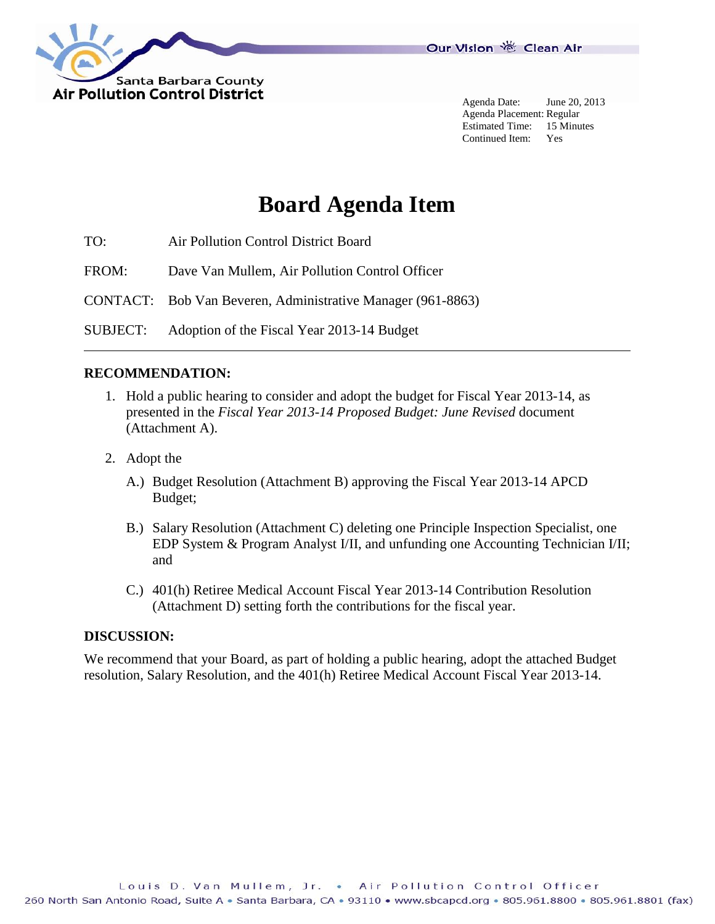

Agenda Date: June 20, 2013 Agenda Placement: Regular Estimated Time: 15 Minutes Continued Item: Yes

# **Board Agenda Item**

TO: Air Pollution Control District Board

FROM: Dave Van Mullem, Air Pollution Control Officer

CONTACT: Bob Van Beveren, Administrative Manager (961-8863)

SUBJECT: Adoption of the Fiscal Year 2013-14 Budget

#### **RECOMMENDATION:**

- 1. Hold a public hearing to consider and adopt the budget for Fiscal Year 2013-14, as presented in the *Fiscal Year 2013-14 Proposed Budget: June Revised* document (Attachment A).
- 2. Adopt the
	- A.) Budget Resolution (Attachment B) approving the Fiscal Year 2013-14 APCD Budget;
	- B.) Salary Resolution (Attachment C) deleting one Principle Inspection Specialist, one EDP System & Program Analyst I/II, and unfunding one Accounting Technician I/II; and
	- C.) 401(h) Retiree Medical Account Fiscal Year 2013-14 Contribution Resolution (Attachment D) setting forth the contributions for the fiscal year.

#### **DISCUSSION:**

We recommend that your Board, as part of holding a public hearing, adopt the attached Budget resolution, Salary Resolution, and the 401(h) Retiree Medical Account Fiscal Year 2013-14.